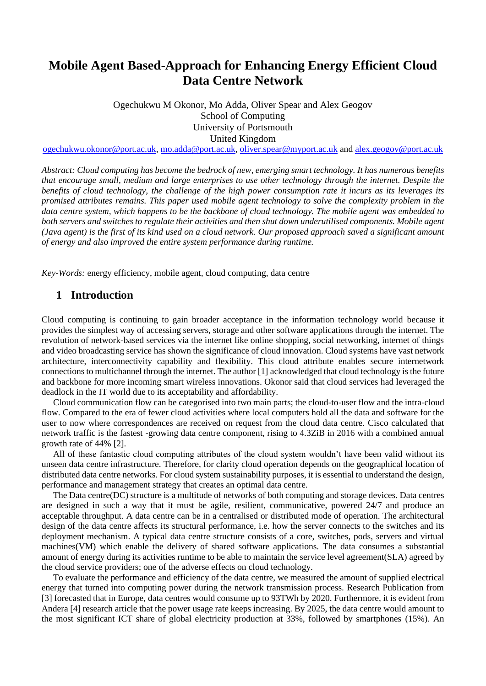# **Mobile Agent Based-Approach for Enhancing Energy Efficient Cloud Data Centre Network**

Ogechukwu M Okonor, Mo Adda, Oliver Spear and Alex Geogov School of Computing University of Portsmouth United Kingdom

[ogechukwu.okonor@port.ac.uk,](mailto:ogechukwu.okonor@port.ac.uk) [mo.adda@port.ac.uk,](mailto:mo.adda@port.ac.uk) [oliver.spear@myport.ac.uk](mailto:oliver.spear@myport.ac.uk) and [alex.geogov@port.ac.uk](mailto:alex.geogov@port.ac.uk)

*Abstract: Cloud computing has become the bedrock of new, emerging smart technology. It has numerous benefits that encourage small, medium and large enterprises to use other technology through the internet. Despite the benefits of cloud technology, the challenge of the high power consumption rate it incurs as its leverages its promised attributes remains. This paper used mobile agent technology to solve the complexity problem in the data centre system, which happens to be the backbone of cloud technology. The mobile agent was embedded to both servers and switches to regulate their activities and then shut down underutilised components. Mobile agent (Java agent) is the first of its kind used on a cloud network. Our proposed approach saved a significant amount of energy and also improved the entire system performance during runtime.*

*Key-Words:* energy efficiency, mobile agent, cloud computing, data centre

### **1 Introduction**

Cloud computing is continuing to gain broader acceptance in the information technology world because it provides the simplest way of accessing servers, storage and other software applications through the internet. The revolution of network-based services via the internet like online shopping, social networking, internet of things and video broadcasting service has shown the significance of cloud innovation. Cloud systems have vast network architecture, interconnectivity capability and flexibility. This cloud attribute enables secure internetwork connections to multichannel through the internet. The author [1] acknowledged that cloud technology is the future and backbone for more incoming smart wireless innovations. Okonor said that cloud services had leveraged the deadlock in the IT world due to its acceptability and affordability.

Cloud communication flow can be categorised into two main parts; the cloud-to-user flow and the intra-cloud flow. Compared to the era of fewer cloud activities where local computers hold all the data and software for the user to now where correspondences are received on request from the cloud data centre. Cisco calculated that network traffic is the fastest -growing data centre component, rising to 4.3ZiB in 2016 with a combined annual growth rate of 44% [2].

All of these fantastic cloud computing attributes of the cloud system wouldn't have been valid without its unseen data centre infrastructure. Therefore, for clarity cloud operation depends on the geographical location of distributed data centre networks. For cloud system sustainability purposes, it is essential to understand the design, performance and management strategy that creates an optimal data centre.

The Data centre(DC) structure is a multitude of networks of both computing and storage devices. Data centres are designed in such a way that it must be agile, resilient, communicative, powered 24/7 and produce an acceptable throughput. A data centre can be in a centralised or distributed mode of operation. The architectural design of the data centre affects its structural performance, i.e. how the server connects to the switches and its deployment mechanism. A typical data centre structure consists of a core, switches, pods, servers and virtual machines(VM) which enable the delivery of shared software applications. The data consumes a substantial amount of energy during its activities runtime to be able to maintain the service level agreement(SLA) agreed by the cloud service providers; one of the adverse effects on cloud technology.

To evaluate the performance and efficiency of the data centre, we measured the amount of supplied electrical energy that turned into computing power during the network transmission process. Research Publication from [3] forecasted that in Europe, data centres would consume up to 93TWh by 2020. Furthermore, it is evident from Andera [4] research article that the power usage rate keeps increasing. By 2025, the data centre would amount to the most significant ICT share of global electricity production at 33%, followed by smartphones (15%). An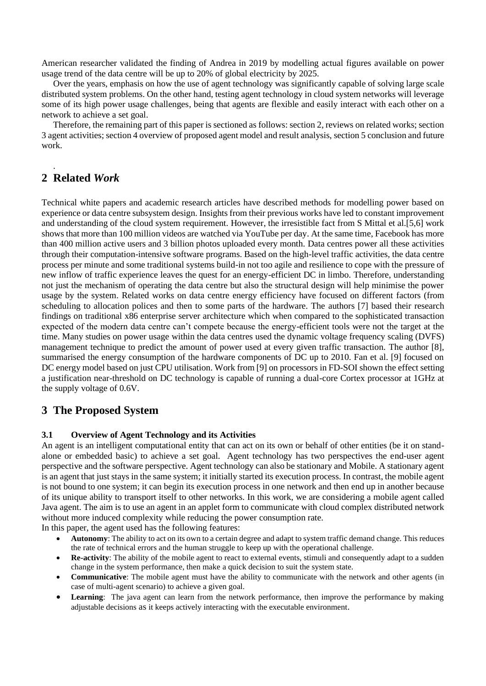American researcher validated the finding of Andrea in 2019 by modelling actual figures available on power usage trend of the data centre will be up to 20% of global electricity by 2025.

Over the years, emphasis on how the use of agent technology was significantly capable of solving large scale distributed system problems. On the other hand, testing agent technology in cloud system networks will leverage some of its high power usage challenges, being that agents are flexible and easily interact with each other on a network to achieve a set goal.

Therefore, the remaining part of this paper is sectioned as follows: section 2, reviews on related works; section 3 agent activities; section 4 overview of proposed agent model and result analysis, section 5 conclusion and future work.

# **2 Related** *Work*

.

Technical white papers and academic research articles have described methods for modelling power based on experience or data centre subsystem design. Insights from their previous works have led to constant improvement and understanding of the cloud system requirement. However, the irresistible fact from S Mittal et al.[5,6] work shows that more than 100 million videos are watched via YouTube per day. At the same time, Facebook has more than 400 million active users and 3 billion photos uploaded every month. Data centres power all these activities through their computation-intensive software programs. Based on the high-level traffic activities, the data centre process per minute and some traditional systems build-in not too agile and resilience to cope with the pressure of new inflow of traffic experience leaves the quest for an energy-efficient DC in limbo. Therefore, understanding not just the mechanism of operating the data centre but also the structural design will help minimise the power usage by the system. Related works on data centre energy efficiency have focused on different factors (from scheduling to allocation polices and then to some parts of the hardware. The authors [7] based their research findings on traditional x86 enterprise server architecture which when compared to the sophisticated transaction expected of the modern data centre can't compete because the energy-efficient tools were not the target at the time. Many studies on power usage within the data centres used the dynamic voltage frequency scaling (DVFS) management technique to predict the amount of power used at every given traffic transaction. The author [8], summarised the energy consumption of the hardware components of DC up to 2010. Fan et al. [9] focused on DC energy model based on just CPU utilisation. Work from [9] on processors in FD-SOI shown the effect setting a justification near-threshold on DC technology is capable of running a dual-core Cortex processor at 1GHz at the supply voltage of 0.6V.

# **3 The Proposed System**

#### **3.1 Overview of Agent Technology and its Activities**

An agent is an intelligent computational entity that can act on its own or behalf of other entities (be it on standalone or embedded basic) to achieve a set goal. Agent technology has two perspectives the end-user agent perspective and the software perspective. Agent technology can also be stationary and Mobile. A stationary agent is an agent that just stays in the same system; it initially started its execution process. In contrast, the mobile agent is not bound to one system; it can begin its execution process in one network and then end up in another because of its unique ability to transport itself to other networks. In this work, we are considering a mobile agent called Java agent. The aim is to use an agent in an applet form to communicate with cloud complex distributed network without more induced complexity while reducing the power consumption rate.

In this paper, the agent used has the following features:

- **Autonomy**: The ability to act on its own to a certain degree and adapt to system traffic demand change. This reduces the rate of technical errors and the human struggle to keep up with the operational challenge.
- **Re-activity**: The ability of the mobile agent to react to external events, stimuli and consequently adapt to a sudden change in the system performance, then make a quick decision to suit the system state.
- **Communicative**: The mobile agent must have the ability to communicate with the network and other agents (in case of multi-agent scenario) to achieve a given goal.
- **Learning**: The java agent can learn from the network performance, then improve the performance by making adjustable decisions as it keeps actively interacting with the executable environment.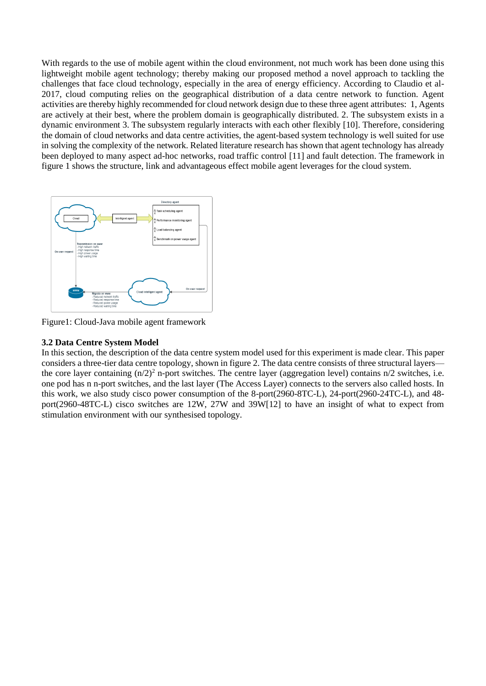With regards to the use of mobile agent within the cloud environment, not much work has been done using this lightweight mobile agent technology; thereby making our proposed method a novel approach to tackling the challenges that face cloud technology, especially in the area of energy efficiency. According to Claudio et al-2017, cloud computing relies on the geographical distribution of a data centre network to function. Agent activities are thereby highly recommended for cloud network design due to these three agent attributes: 1, Agents are actively at their best, where the problem domain is geographically distributed. 2. The subsystem exists in a dynamic environment 3. The subsystem regularly interacts with each other flexibly [10]. Therefore, considering the domain of cloud networks and data centre activities, the agent-based system technology is well suited for use in solving the complexity of the network. Related literature research has shown that agent technology has already been deployed to many aspect ad-hoc networks, road traffic control [11] and fault detection. The framework in figure 1 shows the structure, link and advantageous effect mobile agent leverages for the cloud system.



Figure1: Cloud-Java mobile agent framework

#### **3.2 Data Centre System Model**

In this section, the description of the data centre system model used for this experiment is made clear. This paper considers a three-tier data centre topology, shown in figure 2. The data centre consists of three structural layers the core layer containing  $(n/2)^2$  n-port switches. The centre layer (aggregation level) contains  $n/2$  switches, i.e. one pod has n n-port switches, and the last layer (The Access Layer) connects to the servers also called hosts. In this work, we also study cisco power consumption of the 8-port(2960-8TC-L), 24-port(2960-24TC-L), and 48 port(2960-48TC-L) cisco switches are 12W, 27W and 39W[12] to have an insight of what to expect from stimulation environment with our synthesised topology.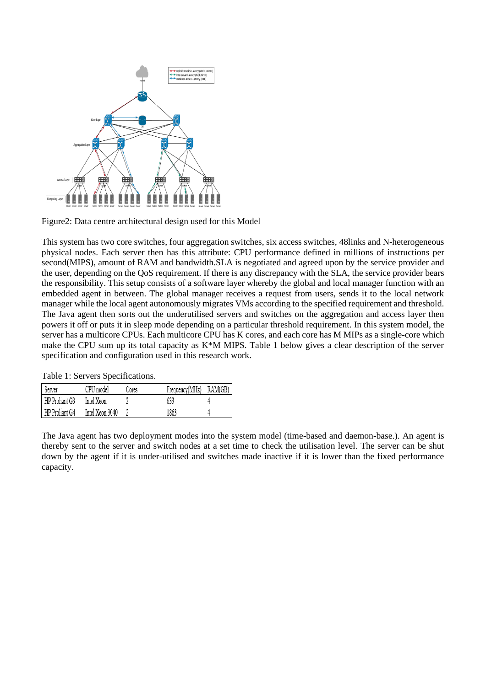

Figure2: Data centre architectural design used for this Model

This system has two core switches, four aggregation switches, six access switches, 48links and N-heterogeneous physical nodes. Each server then has this attribute: CPU performance defined in millions of instructions per second(MIPS), amount of RAM and bandwidth.SLA is negotiated and agreed upon by the service provider and the user, depending on the QoS requirement. If there is any discrepancy with the SLA, the service provider bears the responsibility. This setup consists of a software layer whereby the global and local manager function with an embedded agent in between. The global manager receives a request from users, sends it to the local network manager while the local agent autonomously migrates VMs according to the specified requirement and threshold. The Java agent then sorts out the underutilised servers and switches on the aggregation and access layer then powers it off or puts it in sleep mode depending on a particular threshold requirement. In this system model, the server has a multicore CPUs. Each multicore CPU has K cores, and each core has M MIPs as a single-core which make the CPU sum up its total capacity as K\*M MIPS. Table 1 below gives a clear description of the server specification and configuration used in this research work.

| Server         | CPU model       | Cores | Frequency(MHz) | RAM(GB) |
|----------------|-----------------|-------|----------------|---------|
| HP Proliant G3 | Intel Xeon      |       | 633            |         |
| HP Proliant G4 | Intel Xeon 3040 |       | 1863           |         |

The Java agent has two deployment modes into the system model (time-based and daemon-base.). An agent is thereby sent to the server and switch nodes at a set time to check the utilisation level. The server can be shut down by the agent if it is under-utilised and switches made inactive if it is lower than the fixed performance capacity.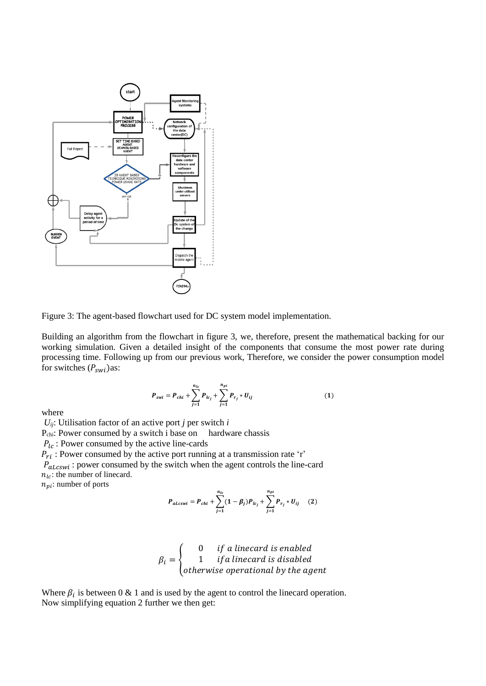

Figure 3: The agent-based flowchart used for DC system model implementation.

Building an algorithm from the flowchart in figure 3, we, therefore, present the mathematical backing for our working simulation. Given a detailed insight of the components that consume the most power rate during processing time. Following up from our previous work, Therefore, we consider the power consumption model for switches  $(P_{swi})$ as:

$$
P_{swi} = P_{chi} + \sum_{j=1}^{n_{lc}} P_{lc_j} + \sum_{j=1}^{n_{pi}} P_{r_j} * U_{ij}
$$
 (1)

where

 $U_{ij}$ : Utilisation factor of an active port *j* per switch *i* P<sub>chi</sub>: Power consumed by a switch i base on hardware chassis  $P_{lc}$ : Power consumed by the active line-cards  $\overrightarrow{P_{ri}}$ : Power consumed by the active port running at a transmission rate 'r'  $P_{alcswi}$ : power consumed by the switch when the agent controls the line-card  $n_{lc}$ : the number of linecard.  $n_{pi}$ : number of ports

$$
P_{alcswi} = P_{chi} + \sum_{j=1}^{n_{lc}} (1 - \beta_j) P_{lc_j} + \sum_{j=1}^{n_{pi}} P_{r_j} * U_{ij}
$$
 (2)

$$
\beta_i = \begin{cases}\n0 & \text{if a linearal is enabled} \\
1 & \text{if a linearal is disabled} \\
otherwise & \text{perational by the agent}\n\end{cases}
$$

Where  $\beta_i$  is between 0 & 1 and is used by the agent to control the linecard operation. Now simplifying equation 2 further we then get: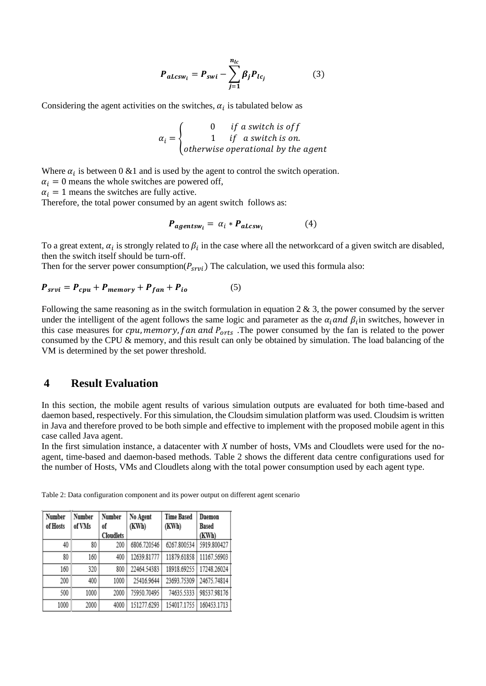$$
P_{alcsw_i} = P_{swi} - \sum_{j=1}^{n_{lc}} \beta_j P_{lc_j}
$$
 (3)

Considering the agent activities on the switches,  $\alpha_i$  is tabulated below as

$$
\alpha_i = \begin{cases}\n0 & \text{if a switch is off} \\
1 & \text{if a switch is on.} \\
otherwise\text{ operational by the agent}\n\end{cases}
$$

Where  $\alpha_i$  is between 0 &1 and is used by the agent to control the switch operation.

 $\alpha_i = 0$  means the whole switches are powered off,

 $\alpha_i = 1$  means the switches are fully active.

Therefore, the total power consumed by an agent switch follows as:

$$
P_{agentsw_i} = \alpha_i * P_{alcsw_i} \tag{4}
$$

To a great extent,  $\alpha_i$  is strongly related to  $\beta_i$  in the case where all the networkcard of a given switch are disabled, then the switch itself should be turn-off.

Then for the server power consumption( $P_{srvi}$ ) The calculation, we used this formula also:

$$
P_{srvi} = P_{cpu} + P_{memory} + P_{fan} + P_{io}
$$
 (5)

Following the same reasoning as in the switch formulation in equation 2  $\&$  3, the power consumed by the server under the intelligent of the agent follows the same logic and parameter as the  $\alpha_i$  and  $\beta_i$  in switches, however in this case measures for  $cpu, memory, fan and P<sub>orts</sub>$ . The power consumed by the fan is related to the power consumed by the CPU & memory, and this result can only be obtained by simulation. The load balancing of the VM is determined by the set power threshold.

# **4 Result Evaluation**

In this section, the mobile agent results of various simulation outputs are evaluated for both time-based and daemon based, respectively. For this simulation, the Cloudsim simulation platform was used. Cloudsim is written in Java and therefore proved to be both simple and effective to implement with the proposed mobile agent in this case called Java agent.

In the first simulation instance, a datacenter with *X* number of hosts, VMs and Cloudlets were used for the noagent, time-based and daemon-based methods. Table 2 shows the different data centre configurations used for the number of Hosts, VMs and Cloudlets along with the total power consumption used by each agent type.

| Number   | Number | Number           | No Agent    | <b>Time Based</b> | Daemon       |
|----------|--------|------------------|-------------|-------------------|--------------|
| of Hosts | of VMs | of               | (KWh)       | (KWh)             | <b>Based</b> |
|          |        | <b>Cloudlets</b> |             |                   | (KWh)        |
| 40       | 80     | 200              | 6806.720546 | 6267.800534       | 5919.800427  |
| 80       | 160    | 400              | 12639.81777 | 11879.61858       | 11167.56903  |
| 160      | 320    | 800              | 22464.54383 | 18918.69255       | 17248.26024  |
| 200      | 400    | 1000             | 25416.9644  | 23693.75309       | 24675.74814  |
| 500      | 1000   | 2000             | 75950.70495 | 74635.5333        | 98537.98176  |
| 1000     | 2000   | 4000             | 151277.6293 | 154017.1755       | 160453.1713  |

Table 2: Data configuration component and its power output on different agent scenario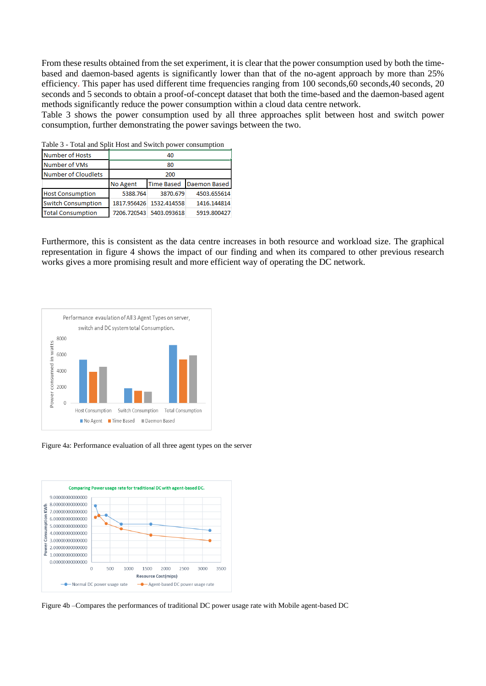From these results obtained from the set experiment, it is clear that the power consumption used by both the timebased and daemon-based agents is significantly lower than that of the no-agent approach by more than 25% efficiency. This paper has used different time frequencies ranging from 100 seconds,60 seconds,40 seconds, 20 seconds and 5 seconds to obtain a proof-of-concept dataset that both the time-based and the daemon-based agent methods significantly reduce the power consumption within a cloud data centre network.

Table 3 shows the power consumption used by all three approaches split between host and switch power consumption, further demonstrating the power savings between the two.

| raoic $\sigma$ roan and opining $\sigma$ and $\sigma$ when power consumption |          |                         |                     |  |  |  |
|------------------------------------------------------------------------------|----------|-------------------------|---------------------|--|--|--|
| <b>Number of Hosts</b>                                                       | 40       |                         |                     |  |  |  |
| Number of VMs                                                                | 80       |                         |                     |  |  |  |
| <b>Number of Cloudlets</b>                                                   | 200      |                         |                     |  |  |  |
|                                                                              | No Agent | <b>Time Based</b>       | <b>Daemon Based</b> |  |  |  |
| <b>Host Consumption</b>                                                      | 5388.764 | 3870.679                | 4503.655614         |  |  |  |
| <b>Switch Consumption</b>                                                    |          | 1817.956426 1532.414558 | 1416.144814         |  |  |  |
| <b>Total Consumption</b>                                                     |          | 7206.720543 5403.093618 | 5919.800427         |  |  |  |

Table 3 - Total and Split Host and Switch power consumption

Furthermore, this is consistent as the data centre increases in both resource and workload size. The graphical representation in figure 4 shows the impact of our finding and when its compared to other previous research works gives a more promising result and more efficient way of operating the DC network.



Figure 4a: Performance evaluation of all three agent types on the server



Figure 4b –Compares the performances of traditional DC power usage rate with Mobile agent-based DC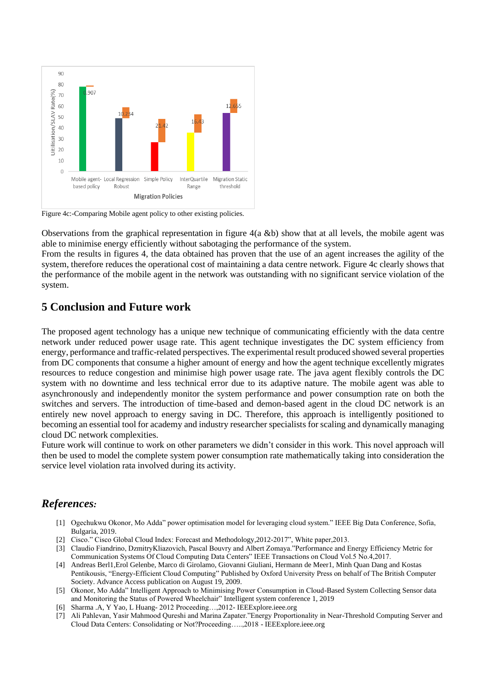

Figure 4c:-Comparing Mobile agent policy to other existing policies.

Observations from the graphical representation in figure 4(a &b) show that at all levels, the mobile agent was able to minimise energy efficiently without sabotaging the performance of the system.

From the results in figures 4, the data obtained has proven that the use of an agent increases the agility of the system, therefore reduces the operational cost of maintaining a data centre network. Figure 4c clearly shows that the performance of the mobile agent in the network was outstanding with no significant service violation of the system.

# **5 Conclusion and Future work**

The proposed agent technology has a unique new technique of communicating efficiently with the data centre network under reduced power usage rate. This agent technique investigates the DC system efficiency from energy, performance and traffic-related perspectives. The experimental result produced showed several properties from DC components that consume a higher amount of energy and how the agent technique excellently migrates resources to reduce congestion and minimise high power usage rate. The java agent flexibly controls the DC system with no downtime and less technical error due to its adaptive nature. The mobile agent was able to asynchronously and independently monitor the system performance and power consumption rate on both the switches and servers. The introduction of time-based and demon-based agent in the cloud DC network is an entirely new novel approach to energy saving in DC. Therefore, this approach is intelligently positioned to becoming an essential tool for academy and industry researcher specialists for scaling and dynamically managing cloud DC network complexities.

Future work will continue to work on other parameters we didn't consider in this work. This novel approach will then be used to model the complete system power consumption rate mathematically taking into consideration the service level violation rata involved during its activity.

# *References:*

- [1] Ogechukwu Okonor, Mo Adda" power optimisation model for leveraging cloud system." IEEE Big Data Conference, Sofia, Bulgaria, 2019.
- [2] Cisco." Cisco Global Cloud Index: Forecast and Methodology,2012-2017", White paper,2013.
- [3] Claudio Fiandrino, DzmitryKliazovich, Pascal Bouvry and Albert Zomaya."Performance and Energy Efficiency Metric for Communication Systems Of Cloud Computing Data Centers" IEEE Transactions on Cloud Vol.5 No.4,2017.
- [4] Andreas Berl1*,*Erol Gelenbe, Marco di Girolamo, Giovanni Giuliani, Hermann de Meer1, Minh Quan Dang and Kostas Pentikousis, "Energy-Efficient Cloud Computing" Published by Oxford University Press on behalf of The British Computer Society. Advance Access publication on August 19, 2009.
- [5] Okonor, Mo Adda" Intelligent Approach to Minimising Power Consumption in Cloud-Based System Collecting Sensor data and Monitoring the Status of Powered Wheelchair" Intelligent system conference 1, 2019
- [6] Sharma .A, Y Yao, L Huang- 2012 Proceeding…,2012- IEEExplore.ieee.org
- [7] Ali Pahlevan, Yasir Mahmood Qureshi and Marina Zapater."Energy Proportionality in Near-Threshold Computing Server and Cloud Data Centers: Consolidating or Not?Proceeding…..,2018 - IEEExplore.ieee.org